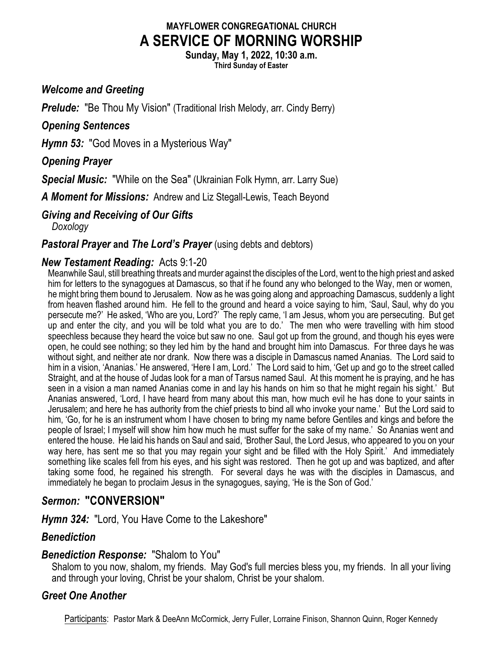## **MAYFLOWER CONGREGATIONAL CHURCH A SERVICE OF MORNING WORSHIP**

**Sunday, May 1, 2022, 10:30 a.m.**

**Third Sunday of Easter**

#### *Welcome and Greeting*

**Prelude:** "Be Thou My Vision" (Traditional Irish Melody, arr. Cindy Berry)

#### *Opening Sentences*

*Hymn 53:* "God Moves in a Mysterious Way"

## *Opening Prayer*

*Special Music:* "While on the Sea" (Ukrainian Folk Hymn, arr. Larry Sue)

*A Moment for Missions:* Andrew and Liz Stegall-Lewis, Teach Beyond

# *Giving and Receiving of Our Gifts*

*Doxology*

*Pastoral Prayer and The Lord's Prayer* (using debts and debtors)

#### *New Testament Reading:* Acts 9:1-20

Meanwhile Saul, still breathing threats and murder against the disciples of the Lord, went to the high priest and asked him for letters to the synagogues at Damascus, so that if he found any who belonged to the Way, men or women, he might bring them bound to Jerusalem. Now as he was going along and approaching Damascus, suddenly a light from heaven flashed around him. He fell to the ground and heard a voice saying to him, 'Saul, Saul, why do you persecute me?' He asked, 'Who are you, Lord?' The reply came, 'I am Jesus, whom you are persecuting. But get up and enter the city, and you will be told what you are to do.' The men who were travelling with him stood speechless because they heard the voice but saw no one. Saul got up from the ground, and though his eyes were open, he could see nothing; so they led him by the hand and brought him into Damascus. For three days he was without sight, and neither ate nor drank. Now there was a disciple in Damascus named Ananias. The Lord said to him in a vision, 'Ananias.' He answered, 'Here I am, Lord.' The Lord said to him, 'Get up and go to the street called Straight, and at the house of Judas look for a man of Tarsus named Saul. At this moment he is praying, and he has seen in a vision a man named Ananias come in and lay his hands on him so that he might regain his sight.' But Ananias answered, 'Lord, I have heard from many about this man, how much evil he has done to your saints in Jerusalem; and here he has authority from the chief priests to bind all who invoke your name.' But the Lord said to him, 'Go, for he is an instrument whom I have chosen to bring my name before Gentiles and kings and before the people of Israel; I myself will show him how much he must suffer for the sake of my name.' So Ananias went and entered the house. He laid his hands on Saul and said, 'Brother Saul, the Lord Jesus, who appeared to you on your way here, has sent me so that you may regain your sight and be filled with the Holy Spirit.' And immediately something like scales fell from his eyes, and his sight was restored. Then he got up and was baptized, and after taking some food, he regained his strength. For several days he was with the disciples in Damascus, and immediately he began to proclaim Jesus in the synagogues, saying, 'He is the Son of God.'

# *Sermon:* **"CONVERSION"**

*Hymn 324:* "Lord, You Have Come to the Lakeshore"

### *Benediction*

#### *Benediction Response:* "Shalom to You"

Shalom to you now, shalom, my friends. May God's full mercies bless you, my friends. In all your living and through your loving, Christ be your shalom, Christ be your shalom.

### *Greet One Another*

Participants: Pastor Mark & DeeAnn McCormick, Jerry Fuller, Lorraine Finison, Shannon Quinn, Roger Kennedy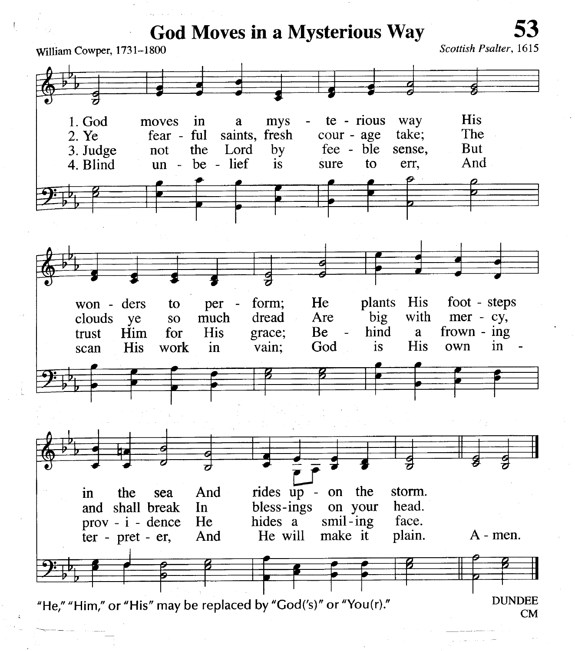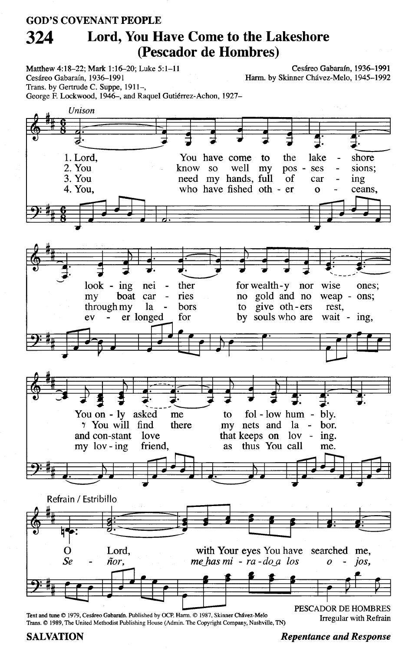#### **GOD'S COVENANT PEOPLE** Lord, You Have Come to the Lakeshore 324 (Pescador de Hombres)

Matthew 4:18-22; Mark 1:16-20; Luke 5:1-11 Cesáreo Gabaraín, 1936-1991 Trans. by Gertrude C. Suppe, 1911-,

George F. Lockwood, 1946-, and Raquel Gutiérrez-Achon, 1927-

Cesáreo Gabaraín. 1936-1991 Harm. by Skinner Chávez-Melo, 1945-1992

Unison a 1. Lord, You have come to the lake shore 2. You know so well  $my$ pos sions; ses 3. You need my hands, full of car ing who have fished oth - er 4. You, ceans,  $\Omega$  $look - ing$ for wealth-y nor wise nei ther ones; ries no gold and no boat car weap - ons; my through my la bors to give oth-ers rest. er longed for by souls who are wait -  $ing$ ,  $ev$ You on - ly asked  $fol - low hum$ bly. me to 7 You will find there my nets and la bor. and con-stant love that keeps on lov ing. thus You call  $my$  lov - ing friend, as me. Refrain / Estribillo Lord, with Your eyes You have searched me, O  $S_{\ell}$ ñor. me has  $mi - ra - do a$  los ios.  $\overline{o}$ 

Text and tune © 1979. Cesáreo Gabaraín. Published by OCP. Harm. © 1987. Skinner Chávez-Melo Trans. © 1989, The United Methodist Publishing House (Admin. The Copyright Company, Nashville, TN) PESCADOR DE HOMBRES **Irregular with Refrain** 

#### **SALVATION**

**Repentance and Response**